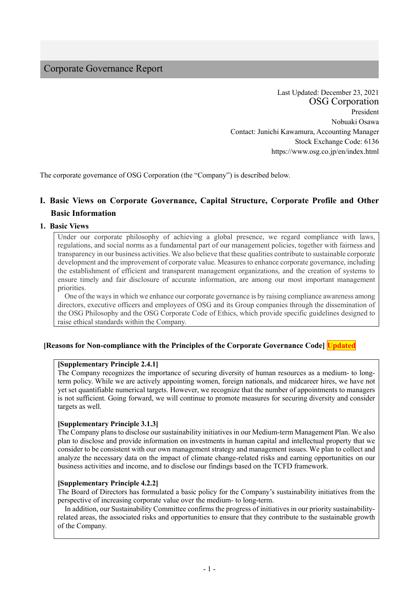# Corporate Governance Report

Last Updated: December 23, 2021 OSG Corporation President Nobuaki Osawa Contact: Junichi Kawamura, Accounting Manager Stock Exchange Code: 6136 https://www.osg.co.jp/en/index.html

The corporate governance of OSG Corporation (the "Company") is described below.

# **Ⅰ. Basic Views on Corporate Governance, Capital Structure, Corporate Profile and Other Basic Information**

#### **1. Basic Views**

Under our corporate philosophy of achieving a global presence, we regard compliance with laws, regulations, and social norms as a fundamental part of our management policies, together with fairness and transparency in our business activities. We also believe that these qualities contribute to sustainable corporate development and the improvement of corporate value. Measures to enhance corporate governance, including the establishment of efficient and transparent management organizations, and the creation of systems to ensure timely and fair disclosure of accurate information, are among our most important management priorities.

One of the ways in which we enhance our corporate governance is by raising compliance awareness among directors, executive officers and employees of OSG and its Group companies through the dissemination of the OSG Philosophy and the OSG Corporate Code of Ethics, which provide specific guidelines designed to raise ethical standards within the Company.

#### **[Reasons for Non-compliance with the Principles of the Corporate Governance Code] Updated**

#### **[Supplementary Principle 2.4.1]**

The Company recognizes the importance of securing diversity of human resources as a medium- to longterm policy. While we are actively appointing women, foreign nationals, and midcareer hires, we have not yet set quantifiable numerical targets. However, we recognize that the number of appointments to managers is not sufficient. Going forward, we will continue to promote measures for securing diversity and consider targets as well.

#### **[Supplementary Principle 3.1.3]**

The Company plans to disclose our sustainability initiatives in our Medium-term Management Plan. We also plan to disclose and provide information on investments in human capital and intellectual property that we consider to be consistent with our own management strategy and management issues. We plan to collect and analyze the necessary data on the impact of climate change-related risks and earning opportunities on our business activities and income, and to disclose our findings based on the TCFD framework.

#### **[Supplementary Principle 4.2.2]**

The Board of Directors has formulated a basic policy for the Company's sustainability initiatives from the perspective of increasing corporate value over the medium- to long-term.

In addition, our Sustainability Committee confirms the progress of initiatives in our priority sustainabilityrelated areas, the associated risks and opportunities to ensure that they contribute to the sustainable growth of the Company.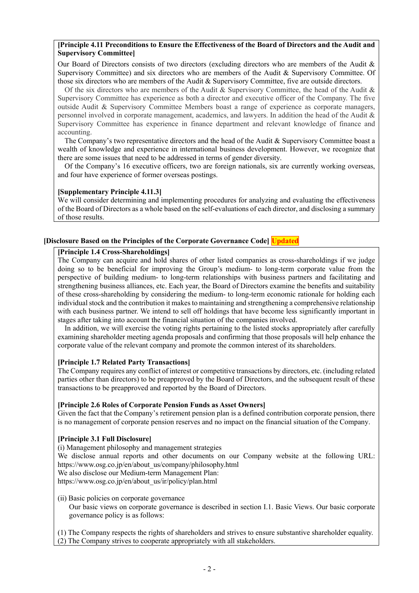#### **[Principle 4.11 Preconditions to Ensure the Effectiveness of the Board of Directors and the Audit and Supervisory Committee]**

Our Board of Directors consists of two directors (excluding directors who are members of the Audit & Supervisory Committee) and six directors who are members of the Audit & Supervisory Committee. Of those six directors who are members of the Audit & Supervisory Committee, five are outside directors.

Of the six directors who are members of the Audit & Supervisory Committee, the head of the Audit  $\&$ Supervisory Committee has experience as both a director and executive officer of the Company. The five outside Audit & Supervisory Committee Members boast a range of experience as corporate managers, personnel involved in corporate management, academics, and lawyers. In addition the head of the Audit & Supervisory Committee has experience in finance department and relevant knowledge of finance and accounting.

The Company's two representative directors and the head of the Audit & Supervisory Committee boast a wealth of knowledge and experience in international business development. However, we recognize that there are some issues that need to be addressed in terms of gender diversity.

Of the Company's 16 executive officers, two are foreign nationals, six are currently working overseas, and four have experience of former overseas postings.

#### **[Supplementary Principle 4.11.3]**

We will consider determining and implementing procedures for analyzing and evaluating the effectiveness of the Board of Directors as a whole based on the self-evaluations of each director, and disclosing a summary of those results.

## **[Disclosure Based on the Principles of the Corporate Governance Code] Updated**

#### **[Principle 1.4 Cross-Shareholdings]**

The Company can acquire and hold shares of other listed companies as cross-shareholdings if we judge doing so to be beneficial for improving the Group's medium- to long-term corporate value from the perspective of building medium- to long-term relationships with business partners and facilitating and strengthening business alliances, etc. Each year, the Board of Directors examine the benefits and suitability of these cross-shareholding by considering the medium- to long-term economic rationale for holding each individual stock and the contribution it makes to maintaining and strengthening a comprehensive relationship with each business partner. We intend to sell off holdings that have become less significantly important in stages after taking into account the financial situation of the companies involved.

In addition, we will exercise the voting rights pertaining to the listed stocks appropriately after carefully examining shareholder meeting agenda proposals and confirming that those proposals will help enhance the corporate value of the relevant company and promote the common interest of its shareholders.

#### **[Principle 1.7 Related Party Transactions]**

The Company requires any conflict of interest or competitive transactions by directors, etc. (including related parties other than directors) to be preapproved by the Board of Directors, and the subsequent result of these transactions to be preapproved and reported by the Board of Directors.

#### **[Principle 2.6 Roles of Corporate Pension Funds as Asset Owners]**

Given the fact that the Company's retirement pension plan is a defined contribution corporate pension, there is no management of corporate pension reserves and no impact on the financial situation of the Company.

#### **[Principle 3.1 Full Disclosure]**

(i) Management philosophy and management strategies We disclose annual reports and other documents on our Company website at the following URL: https://www.osg.co.jp/en/about\_us/company/philosophy.html We also disclose our Medium-term Management Plan: https://www.osg.co.jp/en/about\_us/ir/policy/plan.html

(ii) Basic policies on corporate governance Our basic views on corporate governance is described in section I.1. Basic Views. Our basic corporate governance policy is as follows:

(1) The Company respects the rights of shareholders and strives to ensure substantive shareholder equality. (2) The Company strives to cooperate appropriately with all stakeholders.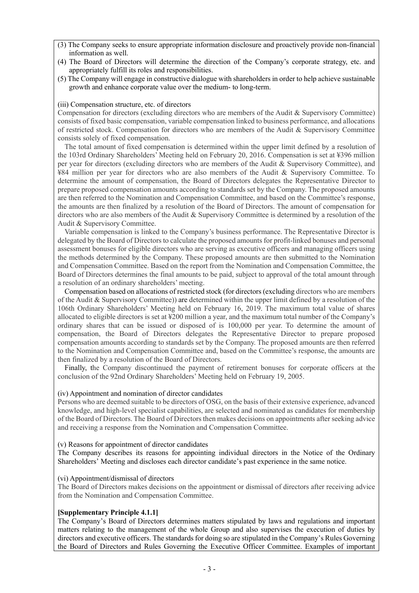- (3) The Company seeks to ensure appropriate information disclosure and proactively provide non-financial information as well.
- (4) The Board of Directors will determine the direction of the Company's corporate strategy, etc. and appropriately fulfill its roles and responsibilities.
- (5) The Company will engage in constructive dialogue with shareholders in order to help achieve sustainable growth and enhance corporate value over the medium- to long-term.

#### (iii) Compensation structure, etc. of directors

Compensation for directors (excluding directors who are members of the Audit & Supervisory Committee) consists of fixed basic compensation, variable compensation linked to business performance, and allocations of restricted stock. Compensation for directors who are members of the Audit & Supervisory Committee consists solely of fixed compensation.

The total amount of fixed compensation is determined within the upper limit defined by a resolution of the 103rd Ordinary Shareholders' Meeting held on February 20, 2016. Compensation is set at ¥396 million per year for directors (excluding directors who are members of the Audit & Supervisory Committee), and ¥84 million per year for directors who are also members of the Audit & Supervisory Committee. To determine the amount of compensation, the Board of Directors delegates the Representative Director to prepare proposed compensation amounts according to standards set by the Company. The proposed amounts are then referred to the Nomination and Compensation Committee, and based on the Committee's response, the amounts are then finalized by a resolution of the Board of Directors. The amount of compensation for directors who are also members of the Audit & Supervisory Committee is determined by a resolution of the Audit & Supervisory Committee.

Variable compensation is linked to the Company's business performance. The Representative Director is delegated by the Board of Directors to calculate the proposed amounts for profit-linked bonuses and personal assessment bonuses for eligible directors who are serving as executive officers and managing officers using the methods determined by the Company. These proposed amounts are then submitted to the Nomination and Compensation Committee. Based on the report from the Nomination and Compensation Committee, the Board of Directors determines the final amounts to be paid, subject to approval of the total amount through a resolution of an ordinary shareholders' meeting.

Compensation based on allocations of restricted stock (for directors (excluding directors who are members of the Audit & Supervisory Committee)) are determined within the upper limit defined by a resolution of the 106th Ordinary Shareholders' Meeting held on February 16, 2019. The maximum total value of shares allocated to eligible directors is set at ¥200 million a year, and the maximum total number of the Company's ordinary shares that can be issued or disposed of is 100,000 per year. To determine the amount of compensation, the Board of Directors delegates the Representative Director to prepare proposed compensation amounts according to standards set by the Company. The proposed amounts are then referred to the Nomination and Compensation Committee and, based on the Committee's response, the amounts are then finalized by a resolution of the Board of Directors.

Finally, the Company discontinued the payment of retirement bonuses for corporate officers at the conclusion of the 92nd Ordinary Shareholders' Meeting held on February 19, 2005.

#### (iv) Appointment and nomination of director candidates

Persons who are deemed suitable to be directors of OSG, on the basis of their extensive experience, advanced knowledge, and high-level specialist capabilities, are selected and nominated as candidates for membership of the Board of Directors. The Board of Directors then makes decisions on appointments after seeking advice and receiving a response from the Nomination and Compensation Committee.

#### (v) Reasons for appointment of director candidates

The Company describes its reasons for appointing individual directors in the Notice of the Ordinary Shareholders' Meeting and discloses each director candidate's past experience in the same notice.

#### (vi) Appointment/dismissal of directors

The Board of Directors makes decisions on the appointment or dismissal of directors after receiving advice from the Nomination and Compensation Committee.

#### **[Supplementary Principle 4.1.1]**

The Company's Board of Directors determines matters stipulated by laws and regulations and important matters relating to the management of the whole Group and also supervises the execution of duties by directors and executive officers. The standards for doing so are stipulated in the Company's Rules Governing the Board of Directors and Rules Governing the Executive Officer Committee. Examples of important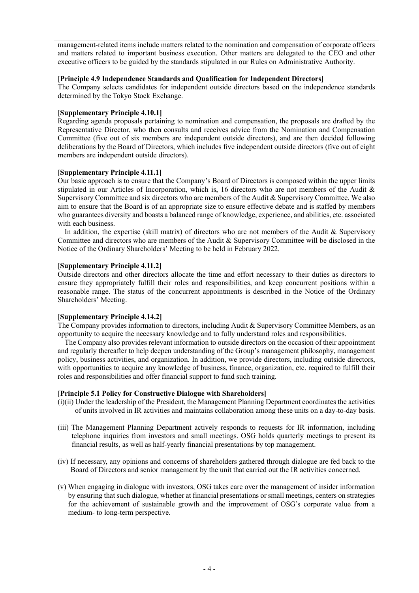management-related items include matters related to the nomination and compensation of corporate officers and matters related to important business execution. Other matters are delegated to the CEO and other executive officers to be guided by the standards stipulated in our Rules on Administrative Authority.

#### **[Principle 4.9 Independence Standards and Qualification for Independent Directors]**

The Company selects candidates for independent outside directors based on the independence standards determined by the Tokyo Stock Exchange.

## **[Supplementary Principle 4.10.1]**

Regarding agenda proposals pertaining to nomination and compensation, the proposals are drafted by the Representative Director, who then consults and receives advice from the Nomination and Compensation Committee (five out of six members are independent outside directors), and are then decided following deliberations by the Board of Directors, which includes five independent outside directors (five out of eight members are independent outside directors).

## **[Supplementary Principle 4.11.1]**

Our basic approach is to ensure that the Company's Board of Directors is composed within the upper limits stipulated in our Articles of Incorporation, which is, 16 directors who are not members of the Audit & Supervisory Committee and six directors who are members of the Audit & Supervisory Committee. We also aim to ensure that the Board is of an appropriate size to ensure effective debate and is staffed by members who guarantees diversity and boasts a balanced range of knowledge, experience, and abilities, etc. associated with each business.

In addition, the expertise (skill matrix) of directors who are not members of the Audit & Supervisory Committee and directors who are members of the Audit & Supervisory Committee will be disclosed in the Notice of the Ordinary Shareholders' Meeting to be held in February 2022.

## **[Supplementary Principle 4.11.2]**

Outside directors and other directors allocate the time and effort necessary to their duties as directors to ensure they appropriately fulfill their roles and responsibilities, and keep concurrent positions within a reasonable range. The status of the concurrent appointments is described in the Notice of the Ordinary Shareholders' Meeting.

## **[Supplementary Principle 4.14.2]**

The Company provides information to directors, including Audit & Supervisory Committee Members, as an opportunity to acquire the necessary knowledge and to fully understand roles and responsibilities.

The Company also provides relevant information to outside directors on the occasion of their appointment and regularly thereafter to help deepen understanding of the Group's management philosophy, management policy, business activities, and organization. In addition, we provide directors, including outside directors, with opportunities to acquire any knowledge of business, finance, organization, etc. required to fulfill their roles and responsibilities and offer financial support to fund such training.

#### **[Principle 5.1 Policy for Constructive Dialogue with Shareholders]**

- (i)(ii) Under the leadership of the President, the Management Planning Department coordinates the activities of units involved in IR activities and maintains collaboration among these units on a day-to-day basis.
- (iii) The Management Planning Department actively responds to requests for IR information, including telephone inquiries from investors and small meetings. OSG holds quarterly meetings to present its financial results, as well as half-yearly financial presentations by top management.
- (iv) If necessary, any opinions and concerns of shareholders gathered through dialogue are fed back to the Board of Directors and senior management by the unit that carried out the IR activities concerned.
- (v) When engaging in dialogue with investors, OSG takes care over the management of insider information by ensuring that such dialogue, whether at financial presentations or small meetings, centers on strategies for the achievement of sustainable growth and the improvement of OSG's corporate value from a medium- to long-term perspective.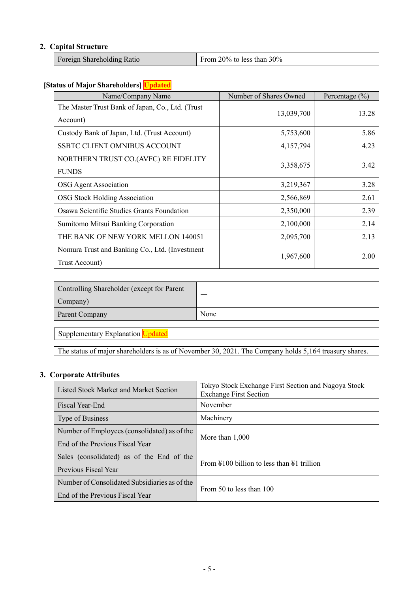## **2. Capital Structure**

| <b>Foreign Shareholding Ratio</b> | From 20% to less than $30\%$ |
|-----------------------------------|------------------------------|
|-----------------------------------|------------------------------|

# **[Status of Major Shareholders] Updated**

| Name/Company Name                                                | Number of Shares Owned | Percentage $(\% )$ |
|------------------------------------------------------------------|------------------------|--------------------|
| The Master Trust Bank of Japan, Co., Ltd. (Trust)<br>Account)    | 13,039,700             | 13.28              |
| Custody Bank of Japan, Ltd. (Trust Account)                      | 5,753,600              | 5.86               |
| <b>SSBTC CLIENT OMNIBUS ACCOUNT</b>                              | 4,157,794              | 4.23               |
| NORTHERN TRUST CO.(AVFC) RE FIDELITY<br><b>FUNDS</b>             | 3,358,675              | 3.42               |
| OSG Agent Association                                            | 3,219,367              | 3.28               |
| <b>OSG Stock Holding Association</b>                             | 2,566,869              | 2.61               |
| Osawa Scientific Studies Grants Foundation                       | 2,350,000              | 2.39               |
| Sumitomo Mitsui Banking Corporation                              | 2,100,000              | 2.14               |
| THE BANK OF NEW YORK MELLON 140051                               | 2,095,700              | 2.13               |
| Nomura Trust and Banking Co., Ltd. (Investment<br>Trust Account) | 1,967,600              | 2.00               |

| Controlling Shareholder (except for Parent |      |
|--------------------------------------------|------|
| Company)                                   |      |
| Parent Company                             | None |

Supplementary Explanation Updated

The status of major shareholders is as of November 30, 2021. The Company holds 5,164 treasury shares.

# **3. Corporate Attributes**

| Listed Stock Market and Market Section        | Tokyo Stock Exchange First Section and Nagoya Stock<br><b>Exchange First Section</b> |  |  |
|-----------------------------------------------|--------------------------------------------------------------------------------------|--|--|
| Fiscal Year-End                               | November                                                                             |  |  |
| Type of Business                              | Machinery                                                                            |  |  |
| Number of Employees (consolidated) as of the  | More than $1,000$                                                                    |  |  |
| End of the Previous Fiscal Year               |                                                                                      |  |  |
| Sales (consolidated) as of the End of the     | From $\text{\#}100$ billion to less than $\text{\#}1$ trillion                       |  |  |
| Previous Fiscal Year                          |                                                                                      |  |  |
| Number of Consolidated Subsidiaries as of the | From 50 to less than 100                                                             |  |  |
| End of the Previous Fiscal Year               |                                                                                      |  |  |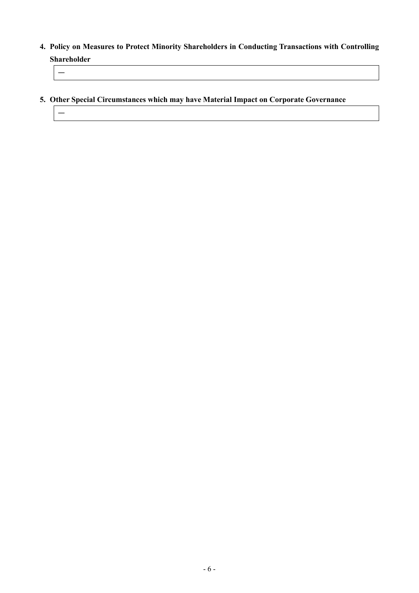**4. Policy on Measures to Protect Minority Shareholders in Conducting Transactions with Controlling Shareholder**

 $\overline{\phantom{0}}$ 

—

**5. Other Special Circumstances which may have Material Impact on Corporate Governance**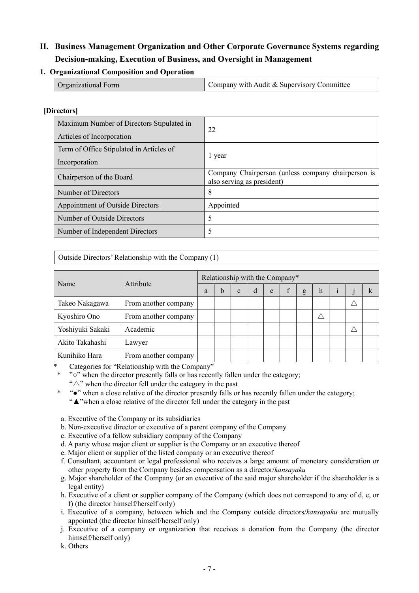# **II. Business Management Organization and Other Corporate Governance Systems regarding Decision-making, Execution of Business, and Oversight in Management**

**1. Organizational Composition and Operation**

| Organizational Form | Company with Audit & Supervisory Committee |
|---------------------|--------------------------------------------|
|---------------------|--------------------------------------------|

## **[Directors]**

| Maximum Number of Directors Stipulated in<br>Articles of Incorporation | 22                                                                               |
|------------------------------------------------------------------------|----------------------------------------------------------------------------------|
| Term of Office Stipulated in Articles of<br>Incorporation              | 1 year                                                                           |
| Chairperson of the Board                                               | Company Chairperson (unless company chairperson is<br>also serving as president) |
| Number of Directors                                                    | 8                                                                                |
| Appointment of Outside Directors                                       | Appointed                                                                        |
| Number of Outside Directors                                            | 5                                                                                |
| Number of Independent Directors                                        | 5                                                                                |

Outside Directors' Relationship with the Company (1)

|                  | Attribute            | Relationship with the Company* |             |              |   |   |              |   |   |  |  |
|------------------|----------------------|--------------------------------|-------------|--------------|---|---|--------------|---|---|--|--|
| Name             |                      | a                              | $\mathbf b$ | $\mathbf{C}$ | d | e | $\mathbf{f}$ | g | h |  |  |
| Takeo Nakagawa   | From another company |                                |             |              |   |   |              |   |   |  |  |
| Kyoshiro Ono     | From another company |                                |             |              |   |   |              |   |   |  |  |
| Yoshiyuki Sakaki | Academic             |                                |             |              |   |   |              |   |   |  |  |
| Akito Takahashi  | Lawyer               |                                |             |              |   |   |              |   |   |  |  |
| Kunihiko Hara    | From another company |                                |             |              |   |   |              |   |   |  |  |

Categories for "Relationship with the Company"

"<sup>o</sup>" when the director presently falls or has recently fallen under the category;

"△" when the director fell under the category in the past

\* "●" when a close relative of the director presently falls or has recently fallen under the category;

"▲"when a close relative of the director fell under the category in the past

a. Executive of the Company or its subsidiaries

b. Non-executive director or executive of a parent company of the Company

c. Executive of a fellow subsidiary company of the Company

d. A party whose major client or supplier is the Company or an executive thereof

e. Major client or supplier of the listed company or an executive thereof

f. Consultant, accountant or legal professional who receives a large amount of monetary consideration or other property from the Company besides compensation as a director/*kansayaku*

g. Major shareholder of the Company (or an executive of the said major shareholder if the shareholder is a legal entity)

h. Executive of a client or supplier company of the Company (which does not correspond to any of d, e, or f) (the director himself/herself only)

i. Executive of a company, between which and the Company outside directors/*kansayaku* are mutually appointed (the director himself/herself only)

j. Executive of a company or organization that receives a donation from the Company (the director himself/herself only)

k. Others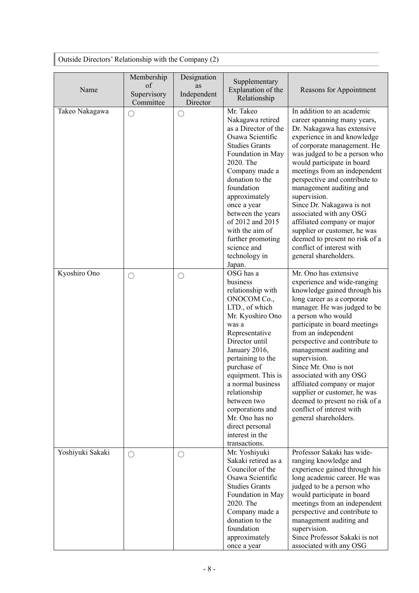Outside Directors' Relationship with the Company (2)

| Name             | Membership<br>of<br>Supervisory | Designation<br>as<br>Independent | Supplementary<br>Explanation of the<br>Relationship                                                                                                                                                                                                                                                                                                                                | Reasons for Appointment                                                                                                                                                                                                                                                                                                                                                                                                                                                                                                                         |
|------------------|---------------------------------|----------------------------------|------------------------------------------------------------------------------------------------------------------------------------------------------------------------------------------------------------------------------------------------------------------------------------------------------------------------------------------------------------------------------------|-------------------------------------------------------------------------------------------------------------------------------------------------------------------------------------------------------------------------------------------------------------------------------------------------------------------------------------------------------------------------------------------------------------------------------------------------------------------------------------------------------------------------------------------------|
| Takeo Nakagawa   | Committee<br>$\bigcirc$         | Director<br>$\bigcirc$           | Mr. Takeo<br>Nakagawa retired<br>as a Director of the<br>Osawa Scientific<br><b>Studies Grants</b><br>Foundation in May<br>2020. The<br>Company made a<br>donation to the<br>foundation<br>approximately<br>once a year<br>between the years<br>of 2012 and 2015<br>with the aim of<br>further promoting<br>science and<br>technology in                                           | In addition to an academic<br>career spanning many years,<br>Dr. Nakagawa has extensive<br>experience in and knowledge<br>of corporate management. He<br>was judged to be a person who<br>would participate in board<br>meetings from an independent<br>perspective and contribute to<br>management auditing and<br>supervision.<br>Since Dr. Nakagawa is not<br>associated with any OSG<br>affiliated company or major<br>supplier or customer, he was<br>deemed to present no risk of a<br>conflict of interest with<br>general shareholders. |
| Kyoshiro Ono     | $\bigcirc$                      | $\bigcirc$                       | Japan.<br>OSG has a<br>business<br>relationship with<br>ONOCOM Co.,<br>LTD., of which<br>Mr. Kyoshiro Ono<br>was a<br>Representative<br>Director until<br>January 2016,<br>pertaining to the<br>purchase of<br>equipment. This is<br>a normal business<br>relationship<br>between two<br>corporations and<br>Mr. Ono has no<br>direct personal<br>interest in the<br>transactions. | Mr. Ono has extensive<br>experience and wide-ranging<br>knowledge gained through his<br>long career as a corporate<br>manager. He was judged to be<br>a person who would<br>participate in board meetings<br>from an independent<br>perspective and contribute to<br>management auditing and<br>supervision.<br>Since Mr. Ono is not<br>associated with any OSG<br>affiliated company or major<br>supplier or customer, he was<br>deemed to present no risk of a<br>conflict of interest with<br>general shareholders.                          |
| Yoshiyuki Sakaki | O                               | $\bigcirc$                       | Mr. Yoshiyuki<br>Sakaki retired as a<br>Councilor of the<br>Osawa Scientific<br><b>Studies Grants</b><br>Foundation in May<br>2020. The<br>Company made a<br>donation to the<br>foundation<br>approximately<br>once a year                                                                                                                                                         | Professor Sakaki has wide-<br>ranging knowledge and<br>experience gained through his<br>long academic career. He was<br>judged to be a person who<br>would participate in board<br>meetings from an independent<br>perspective and contribute to<br>management auditing and<br>supervision.<br>Since Professor Sakaki is not<br>associated with any OSG                                                                                                                                                                                         |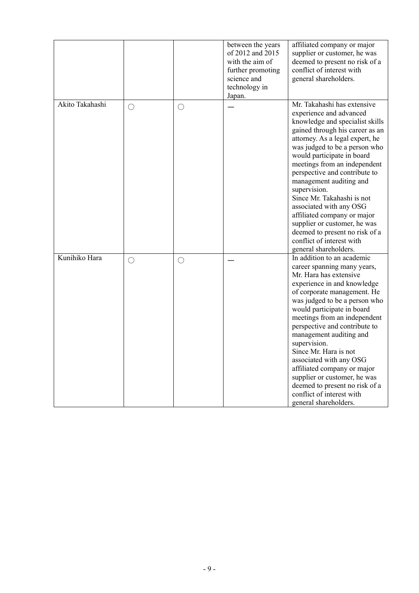|                 |            |            | between the years<br>of 2012 and 2015<br>with the aim of<br>further promoting<br>science and<br>technology in<br>Japan. | affiliated company or major<br>supplier or customer, he was<br>deemed to present no risk of a<br>conflict of interest with<br>general shareholders.                                                                                                                                                                                                                                                                                                                                                                                                        |
|-----------------|------------|------------|-------------------------------------------------------------------------------------------------------------------------|------------------------------------------------------------------------------------------------------------------------------------------------------------------------------------------------------------------------------------------------------------------------------------------------------------------------------------------------------------------------------------------------------------------------------------------------------------------------------------------------------------------------------------------------------------|
| Akito Takahashi | $\bigcirc$ | $\bigcirc$ |                                                                                                                         | Mr. Takahashi has extensive<br>experience and advanced<br>knowledge and specialist skills<br>gained through his career as an<br>attorney. As a legal expert, he<br>was judged to be a person who<br>would participate in board<br>meetings from an independent<br>perspective and contribute to<br>management auditing and<br>supervision.<br>Since Mr. Takahashi is not<br>associated with any OSG<br>affiliated company or major<br>supplier or customer, he was<br>deemed to present no risk of a<br>conflict of interest with<br>general shareholders. |
| Kunihiko Hara   | O          | $\bigcirc$ |                                                                                                                         | In addition to an academic<br>career spanning many years,<br>Mr. Hara has extensive<br>experience in and knowledge<br>of corporate management. He<br>was judged to be a person who<br>would participate in board<br>meetings from an independent<br>perspective and contribute to<br>management auditing and<br>supervision.<br>Since Mr. Hara is not<br>associated with any OSG<br>affiliated company or major<br>supplier or customer, he was<br>deemed to present no risk of a<br>conflict of interest with<br>general shareholders.                    |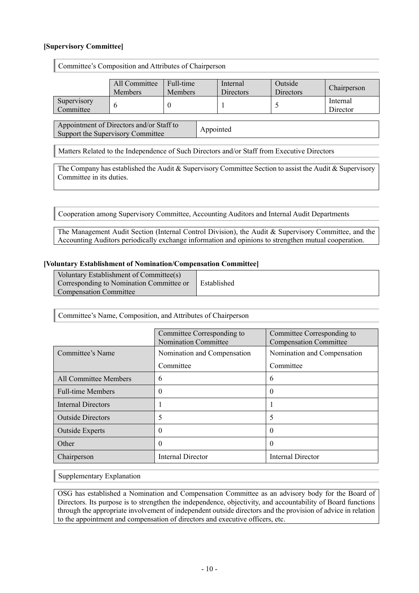## **[Supervisory Committee]**

| Committee's Composition and Attributes of Chairperson                                       |                                 |                             |  |                       |                      |                      |  |
|---------------------------------------------------------------------------------------------|---------------------------------|-----------------------------|--|-----------------------|----------------------|----------------------|--|
|                                                                                             | All Committee<br><b>Members</b> | Full-time<br><b>Members</b> |  | Internal<br>Directors | Outside<br>Directors | Chairperson          |  |
| Supervisory<br>Committee                                                                    | 6                               | $\theta$                    |  |                       |                      | Internal<br>Director |  |
| Appointment of Directors and/or Staff to<br>Appointed<br>Support the Supervisory Committee  |                                 |                             |  |                       |                      |                      |  |
| Matters Related to the Independence of Such Directors and/or Staff from Executive Directors |                                 |                             |  |                       |                      |                      |  |

The Company has established the Audit & Supervisory Committee Section to assist the Audit & Supervisory Committee in its duties.

Cooperation among Supervisory Committee, Accounting Auditors and Internal Audit Departments

The Management Audit Section (Internal Control Division), the Audit & Supervisory Committee, and the Accounting Auditors periodically exchange information and opinions to strengthen mutual cooperation.

#### **[Voluntary Establishment of Nomination/Compensation Committee]**

| Voluntary Establishment of Committee(s)              |  |
|------------------------------------------------------|--|
| Corresponding to Nomination Committee or Fstablished |  |
| <b>Compensation Committee</b>                        |  |

#### Committee's Name, Composition, and Attributes of Chairperson

|                              | Committee Corresponding to<br><b>Nomination Committee</b> | Committee Corresponding to<br><b>Compensation Committee</b> |  |  |
|------------------------------|-----------------------------------------------------------|-------------------------------------------------------------|--|--|
| Committee's Name             | Nomination and Compensation                               | Nomination and Compensation                                 |  |  |
|                              | Committee                                                 | Committee                                                   |  |  |
| <b>All Committee Members</b> | 6                                                         | 6                                                           |  |  |
| <b>Full-time Members</b>     | 0                                                         | $\Omega$                                                    |  |  |
| Internal Directors           |                                                           |                                                             |  |  |
| <b>Outside Directors</b>     | 5                                                         | 5                                                           |  |  |
| <b>Outside Experts</b>       | 0                                                         | O                                                           |  |  |
| Other                        | $\theta$                                                  | $\Omega$                                                    |  |  |
| Chairperson                  | Internal Director                                         | <b>Internal Director</b>                                    |  |  |

Supplementary Explanation

OSG has established a Nomination and Compensation Committee as an advisory body for the Board of Directors. Its purpose is to strengthen the independence, objectivity, and accountability of Board functions through the appropriate involvement of independent outside directors and the provision of advice in relation to the appointment and compensation of directors and executive officers, etc.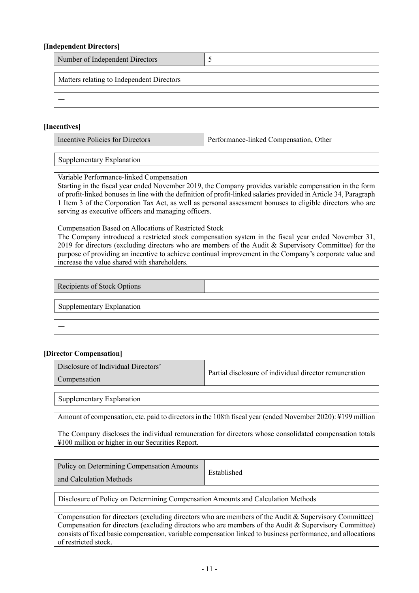#### **[Independent Directors]**

| Number of Independent Directors           |  |
|-------------------------------------------|--|
| Matters relating to Independent Directors |  |
|                                           |  |

#### **[Incentives]**

| Incentive Policies for Directors | Performance-linked Compensation, Other |
|----------------------------------|----------------------------------------|
|                                  |                                        |

Supplementary Explanation

Variable Performance-linked Compensation

Starting in the fiscal year ended November 2019, the Company provides variable compensation in the form of profit-linked bonuses in line with the definition of profit-linked salaries provided in Article 34, Paragraph 1 Item 3 of the Corporation Tax Act, as well as personal assessment bonuses to eligible directors who are serving as executive officers and managing officers.

Compensation Based on Allocations of Restricted Stock

The Company introduced a restricted stock compensation system in the fiscal year ended November 31, 2019 for directors (excluding directors who are members of the Audit & Supervisory Committee) for the purpose of providing an incentive to achieve continual improvement in the Company's corporate value and increase the value shared with shareholders.

Recipients of Stock Options

Supplementary Explanation

—

#### **[Director Compensation]**

| Disclosure of Individual Directors' | Partial disclosure of individual director remuneration |
|-------------------------------------|--------------------------------------------------------|
| Compensation                        |                                                        |

Supplementary Explanation

Amount of compensation, etc. paid to directors in the 108th fiscal year (ended November 2020): ¥199 million

The Company discloses the individual remuneration for directors whose consolidated compensation totals ¥100 million or higher in our Securities Report.

| Policy on Determining Compensation Amounts | Established |
|--------------------------------------------|-------------|
| and Calculation Methods                    |             |

Disclosure of Policy on Determining Compensation Amounts and Calculation Methods

Compensation for directors (excluding directors who are members of the Audit & Supervisory Committee) Compensation for directors (excluding directors who are members of the Audit & Supervisory Committee) consists of fixed basic compensation, variable compensation linked to business performance, and allocations of restricted stock.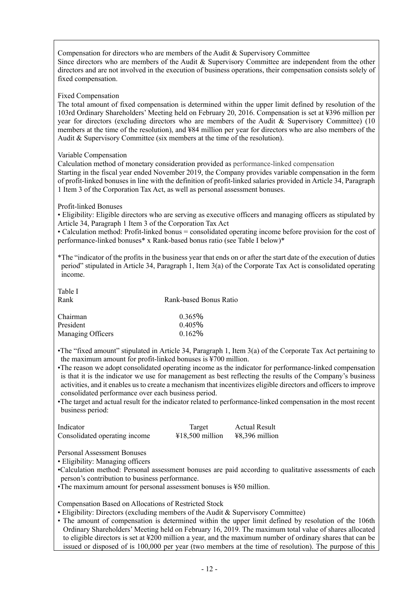Compensation for directors who are members of the Audit & Supervisory Committee Since directors who are members of the Audit & Supervisory Committee are independent from the other directors and are not involved in the execution of business operations, their compensation consists solely of fixed compensation.

Fixed Compensation

The total amount of fixed compensation is determined within the upper limit defined by resolution of the 103rd Ordinary Shareholders' Meeting held on February 20, 2016. Compensation is set at ¥396 million per year for directors (excluding directors who are members of the Audit & Supervisory Committee) (10 members at the time of the resolution), and ¥84 million per year for directors who are also members of the Audit & Supervisory Committee (six members at the time of the resolution).

Variable Compensation

Calculation method of monetary consideration provided as performance-linked compensation Starting in the fiscal year ended November 2019, the Company provides variable compensation in the form of profit-linked bonuses in line with the definition of profit-linked salaries provided in Article 34, Paragraph 1 Item 3 of the Corporation Tax Act, as well as personal assessment bonuses.

Profit-linked Bonuses

• Eligibility: Eligible directors who are serving as executive officers and managing officers as stipulated by Article 34, Paragraph 1 Item 3 of the Corporation Tax Act

• Calculation method: Profit-linked bonus = consolidated operating income before provision for the cost of performance-linked bonuses\* x Rank-based bonus ratio (see Table I below)\*

\*The "indicator of the profits in the business year that ends on or after the start date of the execution of duties period" stipulated in Article 34, Paragraph 1, Item 3(a) of the Corporate Tax Act is consolidated operating income.

Table I

| Rank              | Rank-based Bonus Ratio |
|-------------------|------------------------|
| Chairman          | $0.365\%$              |
| President         | $0.405\%$              |
| Managing Officers | 0.162%                 |

•The "fixed amount" stipulated in Article 34, Paragraph 1, Item 3(a) of the Corporate Tax Act pertaining to the maximum amount for profit-linked bonuses is ¥700 million.

•The reason we adopt consolidated operating income as the indicator for performance-linked compensation is that it is the indicator we use for management as best reflecting the results of the Company's business activities, and it enables us to create a mechanism that incentivizes eligible directors and officers to improve consolidated performance over each business period.

•The target and actual result for the indicator related to performance-linked compensation in the most recent business period:

| Indicator                     | Target            | <b>Actual Result</b> |
|-------------------------------|-------------------|----------------------|
| Consolidated operating income | $418,500$ million | $48,396$ million     |

Personal Assessment Bonuses

• Eligibility: Managing officers

•Calculation method: Personal assessment bonuses are paid according to qualitative assessments of each person's contribution to business performance.

•The maximum amount for personal assessment bonuses is ¥50 million.

Compensation Based on Allocations of Restricted Stock

- Eligibility: Directors (excluding members of the Audit & Supervisory Committee)
- The amount of compensation is determined within the upper limit defined by resolution of the 106th Ordinary Shareholders' Meeting held on February 16, 2019. The maximum total value of shares allocated to eligible directors is set at ¥200 million a year, and the maximum number of ordinary shares that can be issued or disposed of is 100,000 per year (two members at the time of resolution). The purpose of this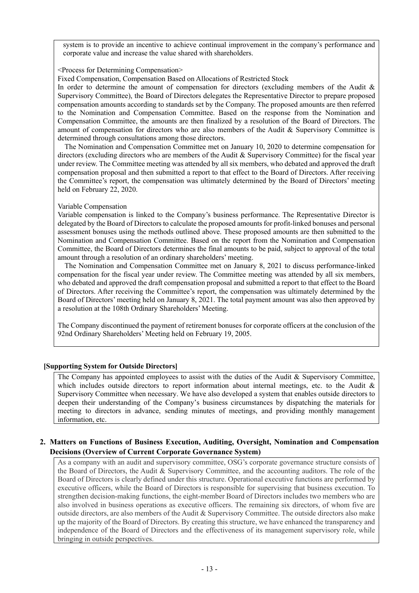system is to provide an incentive to achieve continual improvement in the company's performance and corporate value and increase the value shared with shareholders.

<Process for Determining Compensation>

Fixed Compensation, Compensation Based on Allocations of Restricted Stock

In order to determine the amount of compensation for directors (excluding members of the Audit & Supervisory Committee), the Board of Directors delegates the Representative Director to prepare proposed compensation amounts according to standards set by the Company. The proposed amounts are then referred to the Nomination and Compensation Committee. Based on the response from the Nomination and Compensation Committee, the amounts are then finalized by a resolution of the Board of Directors. The amount of compensation for directors who are also members of the Audit & Supervisory Committee is determined through consultations among those directors.

The Nomination and Compensation Committee met on January 10, 2020 to determine compensation for directors (excluding directors who are members of the Audit & Supervisory Committee) for the fiscal year under review. The Committee meeting was attended by all six members, who debated and approved the draft compensation proposal and then submitted a report to that effect to the Board of Directors. After receiving the Committee's report, the compensation was ultimately determined by the Board of Directors' meeting held on February 22, 2020.

#### Variable Compensation

Variable compensation is linked to the Company's business performance. The Representative Director is delegated by the Board of Directors to calculate the proposed amounts for profit-linked bonuses and personal assessment bonuses using the methods outlined above. These proposed amounts are then submitted to the Nomination and Compensation Committee. Based on the report from the Nomination and Compensation Committee, the Board of Directors determines the final amounts to be paid, subject to approval of the total amount through a resolution of an ordinary shareholders' meeting.

The Nomination and Compensation Committee met on January 8, 2021 to discuss performance-linked compensation for the fiscal year under review. The Committee meeting was attended by all six members, who debated and approved the draft compensation proposal and submitted a report to that effect to the Board of Directors. After receiving the Committee's report, the compensation was ultimately determined by the Board of Directors' meeting held on January 8, 2021. The total payment amount was also then approved by a resolution at the 108th Ordinary Shareholders' Meeting.

The Company discontinued the payment of retirement bonuses for corporate officers at the conclusion of the 92nd Ordinary Shareholders' Meeting held on February 19, 2005.

## **[Supporting System for Outside Directors]**

The Company has appointed employees to assist with the duties of the Audit & Supervisory Committee, which includes outside directors to report information about internal meetings, etc. to the Audit & Supervisory Committee when necessary. We have also developed a system that enables outside directors to deepen their understanding of the Company's business circumstances by dispatching the materials for meeting to directors in advance, sending minutes of meetings, and providing monthly management information, etc.

## **2. Matters on Functions of Business Execution, Auditing, Oversight, Nomination and Compensation Decisions (Overview of Current Corporate Governance System)**

As a company with an audit and supervisory committee, OSG's corporate governance structure consists of the Board of Directors, the Audit & Supervisory Committee, and the accounting auditors. The role of the Board of Directors is clearly defined under this structure. Operational executive functions are performed by executive officers, while the Board of Directors is responsible for supervising that business execution. To strengthen decision-making functions, the eight-member Board of Directors includes two members who are also involved in business operations as executive officers. The remaining six directors, of whom five are outside directors, are also members of the Audit & Supervisory Committee. The outside directors also make up the majority of the Board of Directors. By creating this structure, we have enhanced the transparency and independence of the Board of Directors and the effectiveness of its management supervisory role, while bringing in outside perspectives.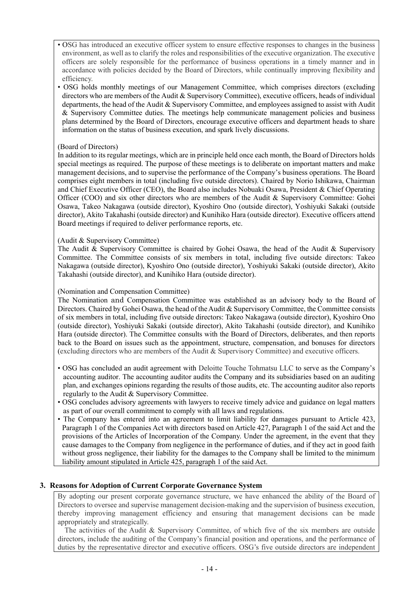- OSG has introduced an executive officer system to ensure effective responses to changes in the business environment, as well as to clarify the roles and responsibilities of the executive organization. The executive officers are solely responsible for the performance of business operations in a timely manner and in accordance with policies decided by the Board of Directors, while continually improving flexibility and efficiency.
- OSG holds monthly meetings of our Management Committee, which comprises directors (excluding directors who are members of the Audit & Supervisory Committee), executive officers, heads of individual departments, the head of the Audit & Supervisory Committee, and employees assigned to assist with Audit & Supervisory Committee duties. The meetings help communicate management policies and business plans determined by the Board of Directors, encourage executive officers and department heads to share information on the status of business execution, and spark lively discussions.

#### (Board of Directors)

In addition to its regular meetings, which are in principle held once each month, the Board of Directors holds special meetings as required. The purpose of these meetings is to deliberate on important matters and make management decisions, and to supervise the performance of the Company's business operations. The Board comprises eight members in total (including five outside directors). Chaired by Norio Ishikawa, Chairman and Chief Executive Officer (CEO), the Board also includes Nobuaki Osawa, President & Chief Operating Officer (COO) and six other directors who are members of the Audit & Supervisory Committee: Gohei Osawa, Takeo Nakagawa (outside director), Kyoshiro Ono (outside director), Yoshiyuki Sakaki (outside director), Akito Takahashi (outside director) and Kunihiko Hara (outside director). Executive officers attend Board meetings if required to deliver performance reports, etc.

#### (Audit & Supervisory Committee)

The Audit & Supervisory Committee is chaired by Gohei Osawa, the head of the Audit & Supervisory Committee. The Committee consists of six members in total, including five outside directors: Takeo Nakagawa (outside director), Kyoshiro Ono (outside director), Yoshiyuki Sakaki (outside director), Akito Takahashi (outside director), and Kunihiko Hara (outside director).

#### (Nomination and Compensation Committee)

The Nomination and Compensation Committee was established as an advisory body to the Board of Directors. Chaired by Gohei Osawa, the head of the Audit & Supervisory Committee, the Committee consists of six members in total, including five outside directors: Takeo Nakagawa (outside director), Kyoshiro Ono (outside director), Yoshiyuki Sakaki (outside director), Akito Takahashi (outside director), and Kunihiko Hara (outside director). The Committee consults with the Board of Directors, deliberates, and then reports back to the Board on issues such as the appointment, structure, compensation, and bonuses for directors (excluding directors who are members of the Audit & Supervisory Committee) and executive officers.

- OSG has concluded an audit agreement with Deloitte Touche Tohmatsu LLC to serve as the Company's accounting auditor. The accounting auditor audits the Company and its subsidiaries based on an auditing plan, and exchanges opinions regarding the results of those audits, etc. The accounting auditor also reports regularly to the Audit & Supervisory Committee.
- OSG concludes advisory agreements with lawyers to receive timely advice and guidance on legal matters as part of our overall commitment to comply with all laws and regulations.
- The Company has entered into an agreement to limit liability for damages pursuant to Article 423, Paragraph 1 of the Companies Act with directors based on Article 427, Paragraph 1 of the said Act and the provisions of the Articles of Incorporation of the Company. Under the agreement, in the event that they cause damages to the Company from negligence in the performance of duties, and if they act in good faith without gross negligence, their liability for the damages to the Company shall be limited to the minimum liability amount stipulated in Article 425, paragraph 1 of the said Act.

#### **3. Reasons for Adoption of Current Corporate Governance System**

By adopting our present corporate governance structure, we have enhanced the ability of the Board of Directors to oversee and supervise management decision-making and the supervision of business execution, thereby improving management efficiency and ensuring that management decisions can be made appropriately and strategically.

The activities of the Audit & Supervisory Committee, of which five of the six members are outside directors, include the auditing of the Company's financial position and operations, and the performance of duties by the representative director and executive officers. OSG's five outside directors are independent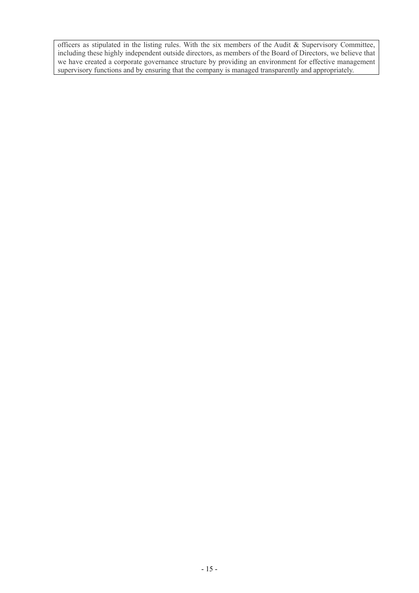officers as stipulated in the listing rules. With the six members of the Audit & Supervisory Committee, including these highly independent outside directors, as members of the Board of Directors, we believe that we have created a corporate governance structure by providing an environment for effective management supervisory functions and by ensuring that the company is managed transparently and appropriately.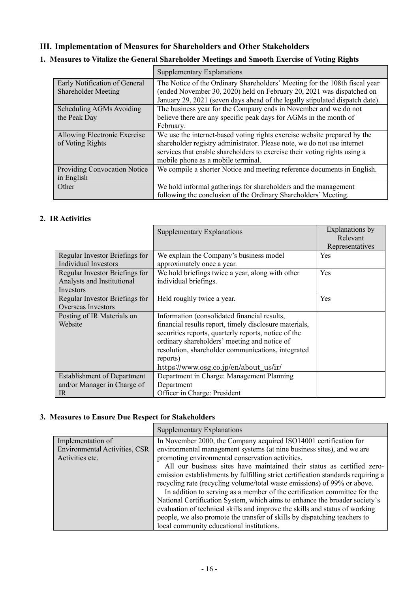# **III. Implementation of Measures for Shareholders and Other Stakeholders**

# **1. Measures to Vitalize the General Shareholder Meetings and Smooth Exercise of Voting Rights**

|                                     | <b>Supplementary Explanations</b>                                            |
|-------------------------------------|------------------------------------------------------------------------------|
| Early Notification of General       | The Notice of the Ordinary Shareholders' Meeting for the 108th fiscal year   |
| <b>Shareholder Meeting</b>          | (ended November 30, 2020) held on February 20, 2021 was dispatched on        |
|                                     | January 29, 2021 (seven days ahead of the legally stipulated dispatch date). |
| Scheduling AGMs Avoiding            | The business year for the Company ends in November and we do not             |
| the Peak Day                        | believe there are any specific peak days for AGMs in the month of            |
|                                     | February.                                                                    |
| Allowing Electronic Exercise        | We use the internet-based voting rights exercise website prepared by the     |
| of Voting Rights                    | shareholder registry administrator. Please note, we do not use internet      |
|                                     | services that enable shareholders to exercise their voting rights using a    |
|                                     | mobile phone as a mobile terminal.                                           |
| <b>Providing Convocation Notice</b> | We compile a shorter Notice and meeting reference documents in English.      |
| in English                          |                                                                              |
| Other                               | We hold informal gatherings for shareholders and the management              |
|                                     | following the conclusion of the Ordinary Shareholders' Meeting.              |

## **2. IR Activities**

|                                    | <b>Supplementary Explanations</b>                      | Explanations by |
|------------------------------------|--------------------------------------------------------|-----------------|
|                                    |                                                        | Relevant        |
|                                    |                                                        | Representatives |
| Regular Investor Briefings for     | We explain the Company's business model                | Yes             |
| <b>Individual Investors</b>        | approximately once a year.                             |                 |
| Regular Investor Briefings for     | We hold briefings twice a year, along with other       | Yes             |
| Analysts and Institutional         | individual briefings.                                  |                 |
| Investors                          |                                                        |                 |
| Regular Investor Briefings for     | Held roughly twice a year.                             | Yes             |
| Overseas Investors                 |                                                        |                 |
| Posting of IR Materials on         | Information (consolidated financial results,           |                 |
| Website                            | financial results report, timely disclosure materials, |                 |
|                                    | securities reports, quarterly reports, notice of the   |                 |
|                                    | ordinary shareholders' meeting and notice of           |                 |
|                                    | resolution, shareholder communications, integrated     |                 |
|                                    | reports)                                               |                 |
|                                    | https://www.osg.co.jp/en/about_us/ir/                  |                 |
| <b>Establishment of Department</b> | Department in Charge: Management Planning              |                 |
| and/or Manager in Charge of        | Department                                             |                 |
| IR.                                | Officer in Charge: President                           |                 |

# **3. Measures to Ensure Due Respect for Stakeholders**

|                                      | <b>Supplementary Explanations</b>                                                |
|--------------------------------------|----------------------------------------------------------------------------------|
| Implementation of                    | In November 2000, the Company acquired ISO14001 certification for                |
| <b>Environmental Activities, CSR</b> | environmental management systems (at nine business sites), and we are            |
| Activities etc.                      | promoting environmental conservation activities.                                 |
|                                      | All our business sites have maintained their status as certified zero-           |
|                                      | emission establishments by fulfilling strict certification standards requiring a |
|                                      | recycling rate (recycling volume/total waste emissions) of 99% or above.         |
|                                      | In addition to serving as a member of the certification committee for the        |
|                                      | National Certification System, which aims to enhance the broader society's       |
|                                      | evaluation of technical skills and improve the skills and status of working      |
|                                      | people, we also promote the transfer of skills by dispatching teachers to        |
|                                      | local community educational institutions.                                        |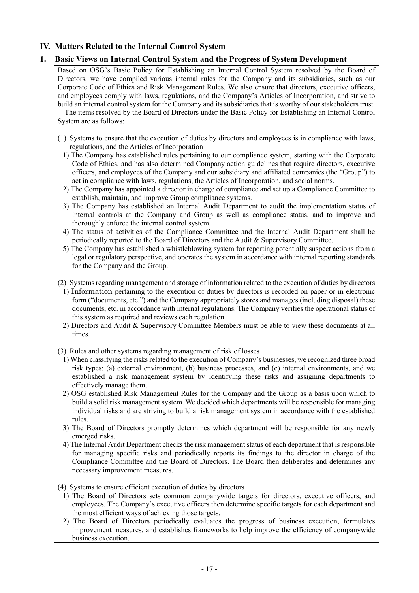# **IV. Matters Related to the Internal Control System**

# **1. Basic Views on Internal Control System and the Progress of System Development**

Based on OSG's Basic Policy for Establishing an Internal Control System resolved by the Board of Directors, we have compiled various internal rules for the Company and its subsidiaries, such as our Corporate Code of Ethics and Risk Management Rules. We also ensure that directors, executive officers, and employees comply with laws, regulations, and the Company's Articles of Incorporation, and strive to build an internal control system for the Company and its subsidiaries that is worthy of our stakeholders trust. The items resolved by the Board of Directors under the Basic Policy for Establishing an Internal Control System are as follows:

- (1) Systems to ensure that the execution of duties by directors and employees is in compliance with laws, regulations, and the Articles of Incorporation
	- 1) The Company has established rules pertaining to our compliance system, starting with the Corporate Code of Ethics, and has also determined Company action guidelines that require directors, executive officers, and employees of the Company and our subsidiary and affiliated companies (the "Group") to act in compliance with laws, regulations, the Articles of Incorporation, and social norms.
	- 2) The Company has appointed a director in charge of compliance and set up a Compliance Committee to establish, maintain, and improve Group compliance systems.
	- 3) The Company has established an Internal Audit Department to audit the implementation status of internal controls at the Company and Group as well as compliance status, and to improve and thoroughly enforce the internal control system.
	- 4) The status of activities of the Compliance Committee and the Internal Audit Department shall be periodically reported to the Board of Directors and the Audit & Supervisory Committee.
	- 5) The Company has established a whistleblowing system for reporting potentially suspect actions from a legal or regulatory perspective, and operates the system in accordance with internal reporting standards for the Company and the Group.
- (2) Systems regarding management and storage of information related to the execution of duties by directors
	- 1) Information pertaining to the execution of duties by directors is recorded on paper or in electronic form ("documents, etc.") and the Company appropriately stores and manages (including disposal) these documents, etc. in accordance with internal regulations. The Company verifies the operational status of this system as required and reviews each regulation.
	- 2) Directors and Audit & Supervisory Committee Members must be able to view these documents at all times.
- (3) Rules and other systems regarding management of risk of losses
	- 1) When classifying the risks related to the execution of Company's businesses, we recognized three broad risk types: (a) external environment, (b) business processes, and (c) internal environments, and we established a risk management system by identifying these risks and assigning departments to effectively manage them.
	- 2) OSG established Risk Management Rules for the Company and the Group as a basis upon which to build a solid risk management system. We decided which departments will be responsible for managing individual risks and are striving to build a risk management system in accordance with the established rules.
	- 3) The Board of Directors promptly determines which department will be responsible for any newly emerged risks.
	- 4) The Internal Audit Department checks the risk management status of each department that is responsible for managing specific risks and periodically reports its findings to the director in charge of the Compliance Committee and the Board of Directors. The Board then deliberates and determines any necessary improvement measures.

(4) Systems to ensure efficient execution of duties by directors

- 1) The Board of Directors sets common companywide targets for directors, executive officers, and employees. The Company's executive officers then determine specific targets for each department and the most efficient ways of achieving those targets.
- 2) The Board of Directors periodically evaluates the progress of business execution, formulates improvement measures, and establishes frameworks to help improve the efficiency of companywide business execution.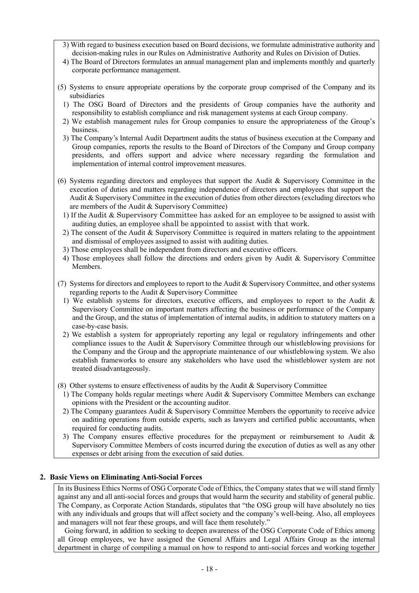- 3) With regard to business execution based on Board decisions, we formulate administrative authority and decision-making rules in our Rules on Administrative Authority and Rules on Division of Duties.
- 4) The Board of Directors formulates an annual management plan and implements monthly and quarterly corporate performance management.
- (5) Systems to ensure appropriate operations by the corporate group comprised of the Company and its subsidiaries
	- 1) The OSG Board of Directors and the presidents of Group companies have the authority and responsibility to establish compliance and risk management systems at each Group company.
	- 2) We establish management rules for Group companies to ensure the appropriateness of the Group's business.
	- 3) The Company's Internal Audit Department audits the status of business execution at the Company and Group companies, reports the results to the Board of Directors of the Company and Group company presidents, and offers support and advice where necessary regarding the formulation and implementation of internal control improvement measures.
- (6) Systems regarding directors and employees that support the Audit & Supervisory Committee in the execution of duties and matters regarding independence of directors and employees that support the Audit & Supervisory Committee in the execution of duties from other directors (excluding directors who are members of the Audit & Supervisory Committee)
	- 1) If the Audit & Supervisory Committee has asked for an employee to be assigned to assist with auditing duties, an employee shall be appointed to assist with that work.
	- 2) The consent of the Audit & Supervisory Committee is required in matters relating to the appointment and dismissal of employees assigned to assist with auditing duties.
	- 3) Those employees shall be independent from directors and executive officers.
	- 4) Those employees shall follow the directions and orders given by Audit & Supervisory Committee Members.
- (7) Systems for directors and employees to report to the Audit & Supervisory Committee, and other systems regarding reports to the Audit & Supervisory Committee
	- 1) We establish systems for directors, executive officers, and employees to report to the Audit & Supervisory Committee on important matters affecting the business or performance of the Company and the Group, and the status of implementation of internal audits, in addition to statutory matters on a case-by-case basis.
	- 2) We establish a system for appropriately reporting any legal or regulatory infringements and other compliance issues to the Audit & Supervisory Committee through our whistleblowing provisions for the Company and the Group and the appropriate maintenance of our whistleblowing system. We also establish frameworks to ensure any stakeholders who have used the whistleblower system are not treated disadvantageously.
- (8) Other systems to ensure effectiveness of audits by the Audit & Supervisory Committee
	- 1) The Company holds regular meetings where Audit & Supervisory Committee Members can exchange opinions with the President or the accounting auditor.
	- 2) The Company guarantees Audit & Supervisory Committee Members the opportunity to receive advice on auditing operations from outside experts, such as lawyers and certified public accountants, when required for conducting audits.
	- 3) The Company ensures effective procedures for the prepayment or reimbursement to Audit & Supervisory Committee Members of costs incurred during the execution of duties as well as any other expenses or debt arising from the execution of said duties.

#### **2. Basic Views on Eliminating Anti-Social Forces**

In its Business Ethics Norms of OSG Corporate Code of Ethics, the Company states that we will stand firmly against any and all anti-social forces and groups that would harm the security and stability of general public. The Company, as Corporate Action Standards, stipulates that "the OSG group will have absolutely no ties with any individuals and groups that will affect society and the company's well-being. Also, all employees and managers will not fear these groups, and will face them resolutely."

Going forward, in addition to seeking to deepen awareness of the OSG Corporate Code of Ethics among all Group employees, we have assigned the General Affairs and Legal Affairs Group as the internal department in charge of compiling a manual on how to respond to anti-social forces and working together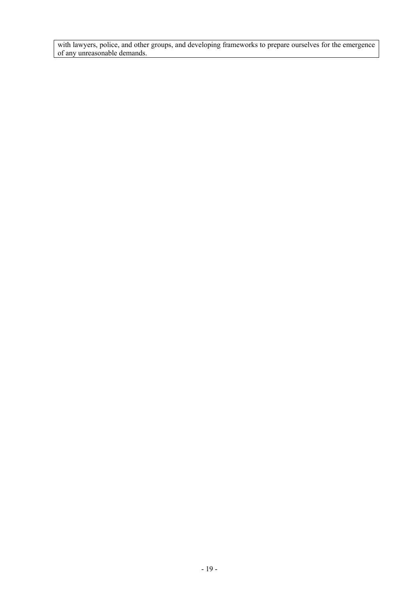with lawyers, police, and other groups, and developing frameworks to prepare ourselves for the emergence of any unreasonable demands.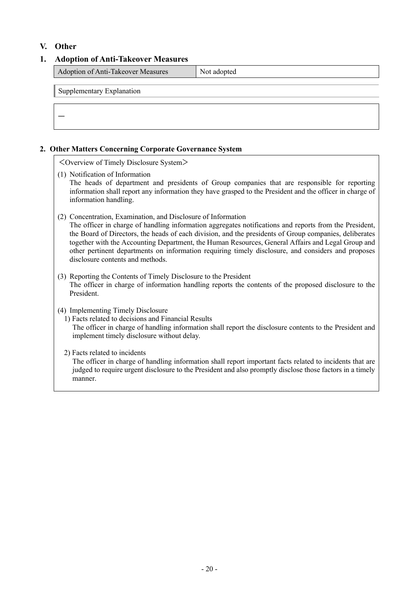# **V. Other**

—

# **1. Adoption of Anti-Takeover Measures**

| Adoption of Anti-Takeover Measures | Not adopted |
|------------------------------------|-------------|
|                                    |             |

Supplementary Explanation

## **2. Other Matters Concerning Corporate Governance System**

<Overview of Timely Disclosure System>

- (1) Notification of Information The heads of department and presidents of Group companies that are responsible for reporting information shall report any information they have grasped to the President and the officer in charge of information handling.
- (2) Concentration, Examination, and Disclosure of Information

The officer in charge of handling information aggregates notifications and reports from the President, the Board of Directors, the heads of each division, and the presidents of Group companies, deliberates together with the Accounting Department, the Human Resources, General Affairs and Legal Group and other pertinent departments on information requiring timely disclosure, and considers and proposes disclosure contents and methods.

- (3) Reporting the Contents of Timely Disclosure to the President The officer in charge of information handling reports the contents of the proposed disclosure to the President.
- (4) Implementing Timely Disclosure
	- 1) Facts related to decisions and Financial Results

The officer in charge of handling information shall report the disclosure contents to the President and implement timely disclosure without delay.

2) Facts related to incidents

The officer in charge of handling information shall report important facts related to incidents that are judged to require urgent disclosure to the President and also promptly disclose those factors in a timely manner.